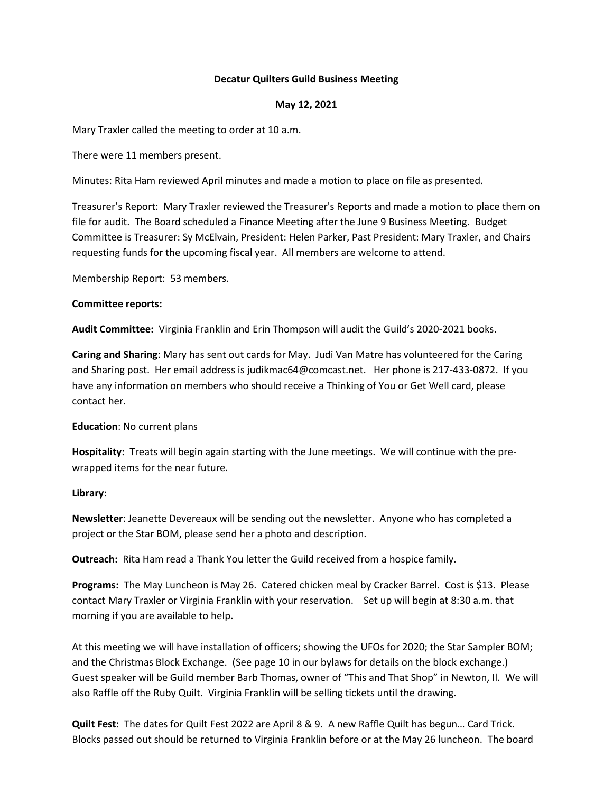# **Decatur Quilters Guild Business Meeting**

# **May 12, 2021**

Mary Traxler called the meeting to order at 10 a.m.

There were 11 members present.

Minutes: Rita Ham reviewed April minutes and made a motion to place on file as presented.

Treasurer's Report: Mary Traxler reviewed the Treasurer's Reports and made a motion to place them on file for audit. The Board scheduled a Finance Meeting after the June 9 Business Meeting. Budget Committee is Treasurer: Sy McElvain, President: Helen Parker, Past President: Mary Traxler, and Chairs requesting funds for the upcoming fiscal year. All members are welcome to attend.

Membership Report: 53 members.

## **Committee reports:**

**Audit Committee:** Virginia Franklin and Erin Thompson will audit the Guild's 2020-2021 books.

**Caring and Sharing**: Mary has sent out cards for May. Judi Van Matre has volunteered for the Caring and Sharing post. Her email address is judikmac64@comcast.net. Her phone is 217-433-0872. If you have any information on members who should receive a Thinking of You or Get Well card, please contact her.

## **Education**: No current plans

**Hospitality:** Treats will begin again starting with the June meetings. We will continue with the prewrapped items for the near future.

# **Library**:

**Newsletter**: Jeanette Devereaux will be sending out the newsletter. Anyone who has completed a project or the Star BOM, please send her a photo and description.

**Outreach:** Rita Ham read a Thank You letter the Guild received from a hospice family.

**Programs:** The May Luncheon is May 26. Catered chicken meal by Cracker Barrel. Cost is \$13. Please contact Mary Traxler or Virginia Franklin with your reservation. Set up will begin at 8:30 a.m. that morning if you are available to help.

At this meeting we will have installation of officers; showing the UFOs for 2020; the Star Sampler BOM; and the Christmas Block Exchange. (See page 10 in our bylaws for details on the block exchange.) Guest speaker will be Guild member Barb Thomas, owner of "This and That Shop" in Newton, Il. We will also Raffle off the Ruby Quilt. Virginia Franklin will be selling tickets until the drawing.

**Quilt Fest:** The dates for Quilt Fest 2022 are April 8 & 9. A new Raffle Quilt has begun… Card Trick. Blocks passed out should be returned to Virginia Franklin before or at the May 26 luncheon. The board